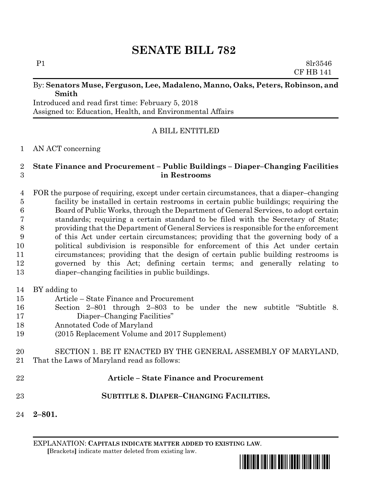# **SENATE BILL 782**

P1 8lr3546 CF HB 141

#### By: **Senators Muse, Ferguson, Lee, Madaleno, Manno, Oaks, Peters, Robinson, and Smith**

Introduced and read first time: February 5, 2018 Assigned to: Education, Health, and Environmental Affairs

# A BILL ENTITLED

### AN ACT concerning

#### **State Finance and Procurement – Public Buildings – Diaper–Changing Facilities in Restrooms**

 FOR the purpose of requiring, except under certain circumstances, that a diaper–changing facility be installed in certain restrooms in certain public buildings; requiring the Board of Public Works, through the Department of General Services, to adopt certain standards; requiring a certain standard to be filed with the Secretary of State; providing that the Department of General Services is responsible for the enforcement of this Act under certain circumstances; providing that the governing body of a political subdivision is responsible for enforcement of this Act under certain circumstances; providing that the design of certain public building restrooms is governed by this Act; defining certain terms; and generally relating to diaper–changing facilities in public buildings.

- BY adding to
- Article State Finance and Procurement
- Section 2–801 through 2–803 to be under the new subtitle "Subtitle 8. Diaper–Changing Facilities"
- Annotated Code of Maryland
- (2015 Replacement Volume and 2017 Supplement)
- SECTION 1. BE IT ENACTED BY THE GENERAL ASSEMBLY OF MARYLAND, That the Laws of Maryland read as follows:
- **Article – State Finance and Procurement SUBTITLE 8. DIAPER–CHANGING FACILITIES.**
- **2–801.**

EXPLANATION: **CAPITALS INDICATE MATTER ADDED TO EXISTING LAW**.  **[**Brackets**]** indicate matter deleted from existing law.

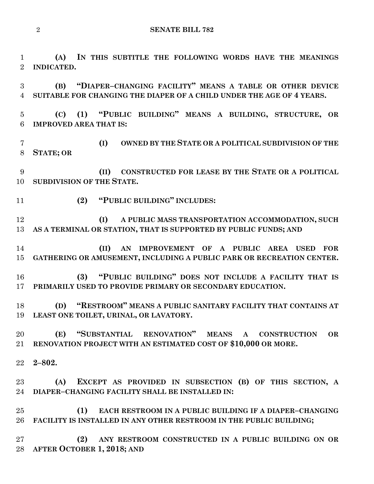**(A) IN THIS SUBTITLE THE FOLLOWING WORDS HAVE THE MEANINGS INDICATED.**

 **(B) "DIAPER–CHANGING FACILITY" MEANS A TABLE OR OTHER DEVICE SUITABLE FOR CHANGING THE DIAPER OF A CHILD UNDER THE AGE OF 4 YEARS.**

 **(C) (1) "PUBLIC BUILDING" MEANS A BUILDING, STRUCTURE, OR IMPROVED AREA THAT IS:**

 **(I) OWNED BY THE STATE OR A POLITICAL SUBDIVISION OF THE STATE; OR**

 **(II) CONSTRUCTED FOR LEASE BY THE STATE OR A POLITICAL SUBDIVISION OF THE STATE.**

**(2) "PUBLIC BUILDING" INCLUDES:**

 **(I) A PUBLIC MASS TRANSPORTATION ACCOMMODATION, SUCH AS A TERMINAL OR STATION, THAT IS SUPPORTED BY PUBLIC FUNDS; AND**

 **(II) AN IMPROVEMENT OF A PUBLIC AREA USED FOR GATHERING OR AMUSEMENT, INCLUDING A PUBLIC PARK OR RECREATION CENTER.**

 **(3) "PUBLIC BUILDING" DOES NOT INCLUDE A FACILITY THAT IS PRIMARILY USED TO PROVIDE PRIMARY OR SECONDARY EDUCATION.**

 **(D) "RESTROOM" MEANS A PUBLIC SANITARY FACILITY THAT CONTAINS AT LEAST ONE TOILET, URINAL, OR LAVATORY.**

 **(E) "SUBSTANTIAL RENOVATION" MEANS A CONSTRUCTION OR RENOVATION PROJECT WITH AN ESTIMATED COST OF \$10,000 OR MORE.**

**2–802.**

 **(A) EXCEPT AS PROVIDED IN SUBSECTION (B) OF THIS SECTION, A DIAPER–CHANGING FACILITY SHALL BE INSTALLED IN:**

 **(1) EACH RESTROOM IN A PUBLIC BUILDING IF A DIAPER–CHANGING FACILITY IS INSTALLED IN ANY OTHER RESTROOM IN THE PUBLIC BUILDING;**

 **(2) ANY RESTROOM CONSTRUCTED IN A PUBLIC BUILDING ON OR AFTER OCTOBER 1, 2018; AND**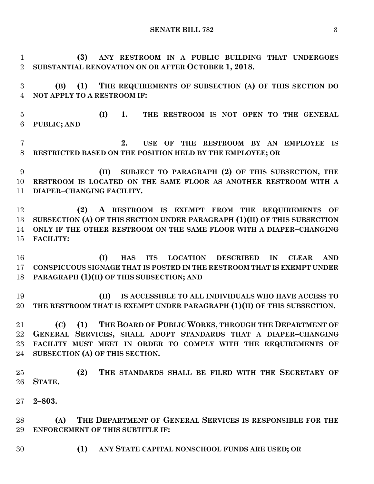**(3) ANY RESTROOM IN A PUBLIC BUILDING THAT UNDERGOES SUBSTANTIAL RENOVATION ON OR AFTER OCTOBER 1, 2018.**

 **(B) (1) THE REQUIREMENTS OF SUBSECTION (A) OF THIS SECTION DO NOT APPLY TO A RESTROOM IF:**

 **(I) 1. THE RESTROOM IS NOT OPEN TO THE GENERAL PUBLIC; AND**

 **2. USE OF THE RESTROOM BY AN EMPLOYEE IS RESTRICTED BASED ON THE POSITION HELD BY THE EMPLOYEE; OR**

 **(II) SUBJECT TO PARAGRAPH (2) OF THIS SUBSECTION, THE RESTROOM IS LOCATED ON THE SAME FLOOR AS ANOTHER RESTROOM WITH A DIAPER–CHANGING FACILITY.**

 **(2) A RESTROOM IS EXEMPT FROM THE REQUIREMENTS OF SUBSECTION (A) OF THIS SECTION UNDER PARAGRAPH (1)(II) OF THIS SUBSECTION ONLY IF THE OTHER RESTROOM ON THE SAME FLOOR WITH A DIAPER–CHANGING FACILITY:**

 **(I) HAS ITS LOCATION DESCRIBED IN CLEAR AND CONSPICUOUS SIGNAGE THAT IS POSTED IN THE RESTROOM THAT IS EXEMPT UNDER PARAGRAPH (1)(II) OF THIS SUBSECTION; AND**

 **(II) IS ACCESSIBLE TO ALL INDIVIDUALS WHO HAVE ACCESS TO THE RESTROOM THAT IS EXEMPT UNDER PARAGRAPH (1)(II) OF THIS SUBSECTION.**

 **(C) (1) THE BOARD OF PUBLIC WORKS, THROUGH THE DEPARTMENT OF GENERAL SERVICES, SHALL ADOPT STANDARDS THAT A DIAPER–CHANGING FACILITY MUST MEET IN ORDER TO COMPLY WITH THE REQUIREMENTS OF SUBSECTION (A) OF THIS SECTION.**

 **(2) THE STANDARDS SHALL BE FILED WITH THE SECRETARY OF STATE.**

**2–803.**

 **(A) THE DEPARTMENT OF GENERAL SERVICES IS RESPONSIBLE FOR THE ENFORCEMENT OF THIS SUBTITLE IF:**

**(1) ANY STATE CAPITAL NONSCHOOL FUNDS ARE USED; OR**